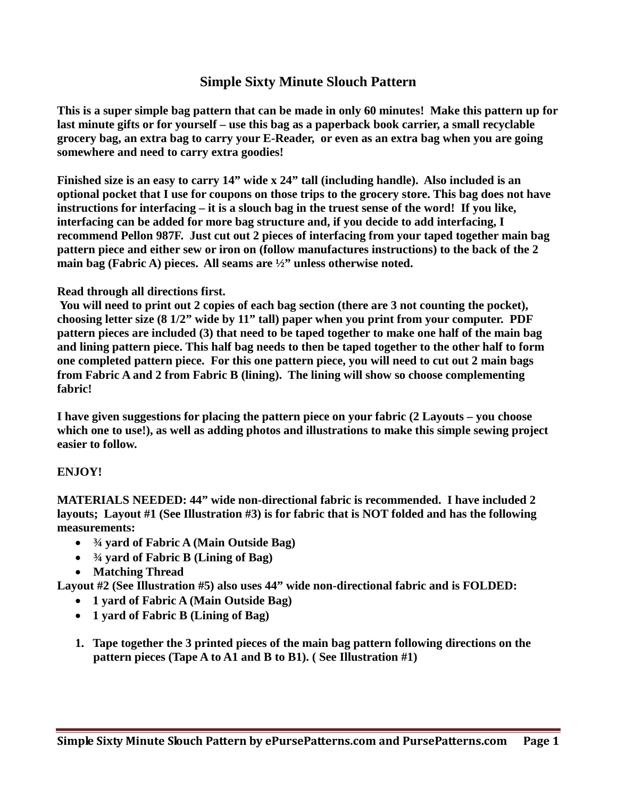## **Simple Sixty Minute Slouch Pattern**

**This is a super simple bag pattern that can be made in only 60 minutes! Make this pattern up for last minute gifts or for yourself – use this bag as a paperback book carrier, a small recyclable grocery bag, an extra bag to carry your E-Reader, or even as an extra bag when you are going somewhere and need to carry extra goodies!**

**Finished size is an easy to carry 14" wide x 24" tall (including handle). Also included is an optional pocket that I use for coupons on those trips to the grocery store. This bag does not have instructions for interfacing – it is a slouch bag in the truest sense of the word! If you like, interfacing can be added for more bag structure and, if you decide to add interfacing, I recommend Pellon 987F. Just cut out 2 pieces of interfacing from your taped together main bag pattern piece and either sew or iron on (follow manufactures instructions) to the back of the 2 main bag (Fabric A) pieces. All seams are ½" unless otherwise noted.**

## **Read through all directions first.**

**You will need to print out 2 copies of each bag section (there are 3 not counting the pocket), choosing letter size (8 1/2" wide by 11" tall) paper when you print from your computer. PDF pattern pieces are included (3) that need to be taped together to make one half of the main bag and lining pattern piece. This half bag needs to then be taped together to the other half to form one completed pattern piece. For this one pattern piece, you will need to cut out 2 main bags from Fabric A and 2 from Fabric B (lining). The lining will show so choose complementing fabric!** 

**I have given suggestions for placing the pattern piece on your fabric (2 Layouts – you choose which one to use!), as well as adding photos and illustrations to make this simple sewing project easier to follow.**

## **ENJOY!**

**MATERIALS NEEDED: 44" wide non-directional fabric is recommended. I have included 2 layouts; Layout #1 (See Illustration #3) is for fabric that is NOT folded and has the following measurements:**

- **¾ yard of Fabric A (Main Outside Bag)**
- **¾ yard of Fabric B (Lining of Bag)**
- **Matching Thread**

**Layout #2 (See Illustration #5) also uses 44" wide non-directional fabric and is FOLDED:**

- **1 yard of Fabric A (Main Outside Bag)**
- **1 yard of Fabric B (Lining of Bag)**
- **1. Tape together the 3 printed pieces of the main bag pattern following directions on the pattern pieces (Tape A to A1 and B to B1). ( See Illustration #1)**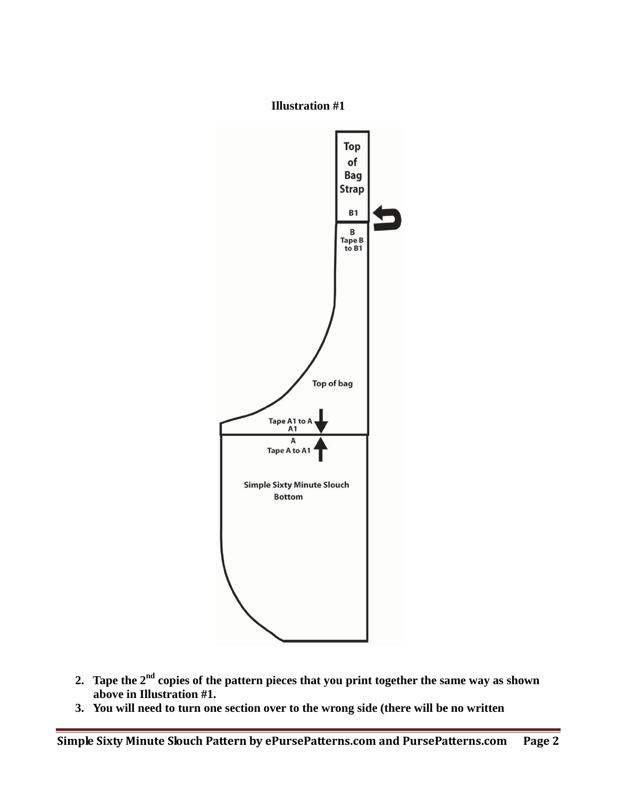

- **2. Tape the 2nd copies of the pattern pieces that you print together the same way as shown above in Illustration #1.**
- **3. You will need to turn one section over to the wrong side (there will be no written**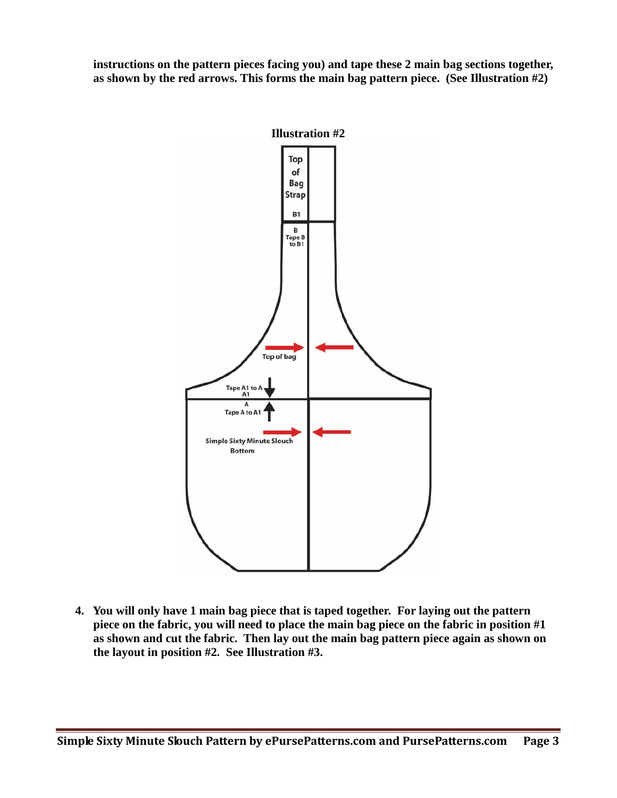**instructions on the pattern pieces facing you) and tape these 2 main bag sections together, as shown by the red arrows. This forms the main bag pattern piece. (See Illustration #2)**



**4. You will only have 1 main bag piece that is taped together. For laying out the pattern piece on the fabric, you will need to place the main bag piece on the fabric in position #1 as shown and cut the fabric. Then lay out the main bag pattern piece again as shown on the layout in position #2. See Illustration #3.**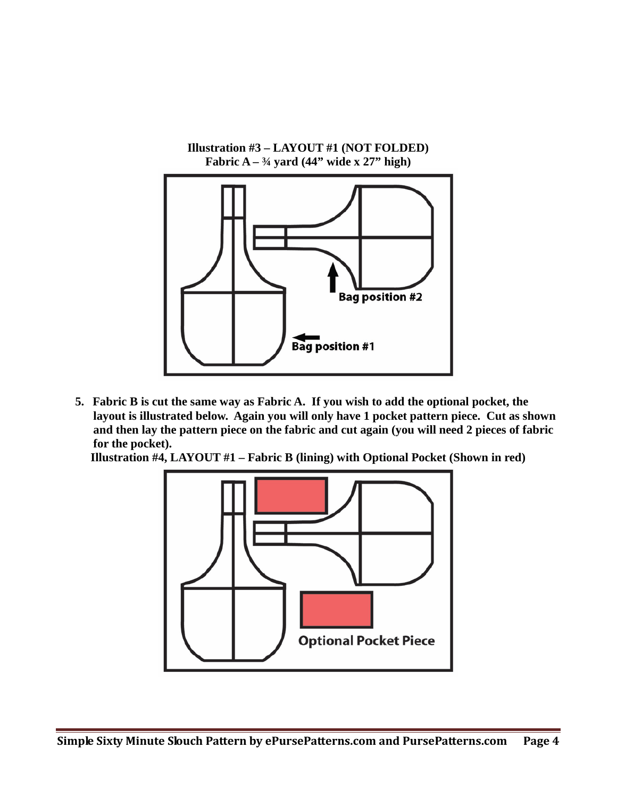

**5. Fabric B is cut the same way as Fabric A. If you wish to add the optional pocket, the layout is illustrated below. Again you will only have 1 pocket pattern piece. Cut as shown and then lay the pattern piece on the fabric and cut again (you will need 2 pieces of fabric for the pocket).**

**Illustration #4, LAYOUT #1 – Fabric B (lining) with Optional Pocket (Shown in red)**

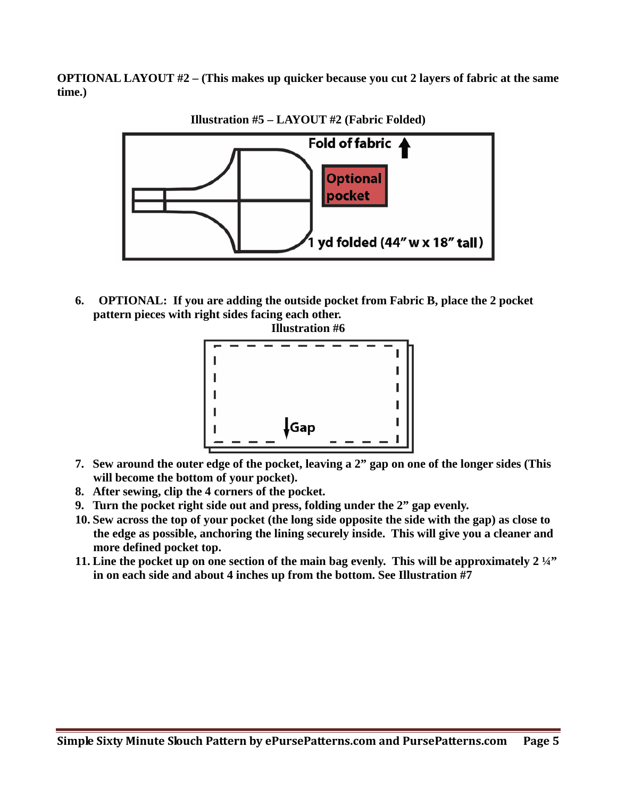**OPTIONAL LAYOUT #2 – (This makes up quicker because you cut 2 layers of fabric at the same time.)**



**Illustration #5 – LAYOUT #2 (Fabric Folded)**

**6. OPTIONAL: If you are adding the outside pocket from Fabric B, place the 2 pocket pattern pieces with right sides facing each other.**



- **7. Sew around the outer edge of the pocket, leaving a 2" gap on one of the longer sides (This will become the bottom of your pocket).**
- **8. After sewing, clip the 4 corners of the pocket.**
- **9. Turn the pocket right side out and press, folding under the 2" gap evenly.**
- **10. Sew across the top of your pocket (the long side opposite the side with the gap) as close to the edge as possible, anchoring the lining securely inside. This will give you a cleaner and more defined pocket top.**
- **11. Line the pocket up on one section of the main bag evenly. This will be approximately 2 ¼" in on each side and about 4 inches up from the bottom. See Illustration #7**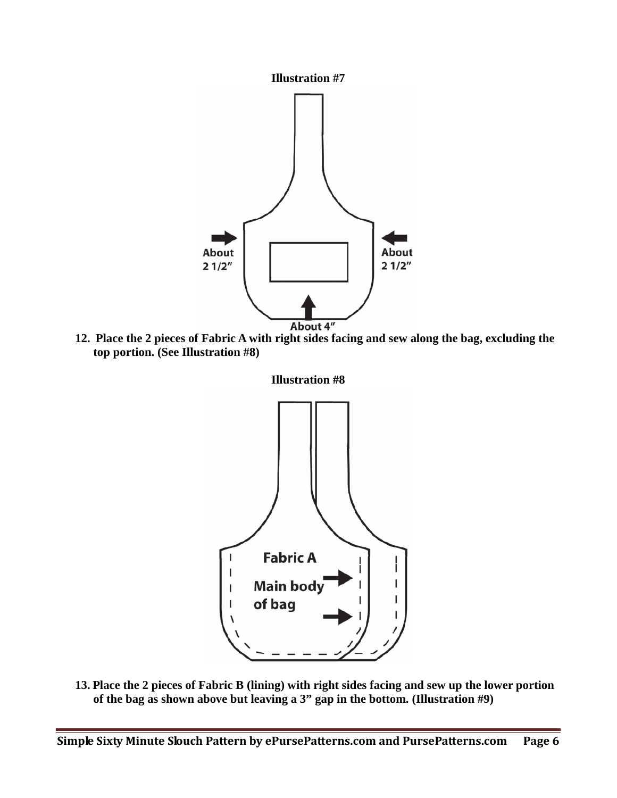

**12. Place the 2 pieces of Fabric A with right sides facing and sew along the bag, excluding the top portion. (See Illustration #8)**



**13. Place the 2 pieces of Fabric B (lining) with right sides facing and sew up the lower portion of the bag as shown above but leaving a 3" gap in the bottom. (Illustration #9)**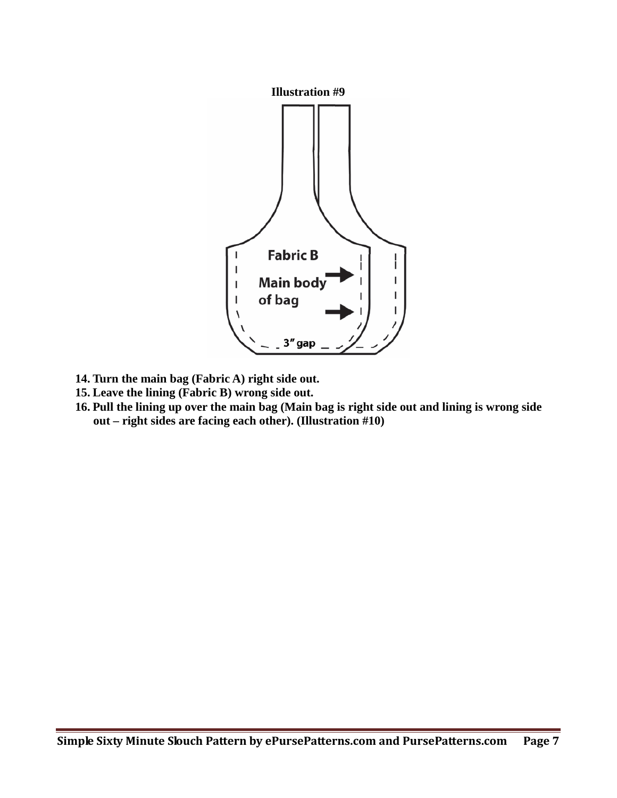

- **14. Turn the main bag (Fabric A) right side out.**
- **15. Leave the lining (Fabric B) wrong side out.**
- **16. Pull the lining up over the main bag (Main bag is right side out and lining is wrong side out – right sides are facing each other). (Illustration #10)**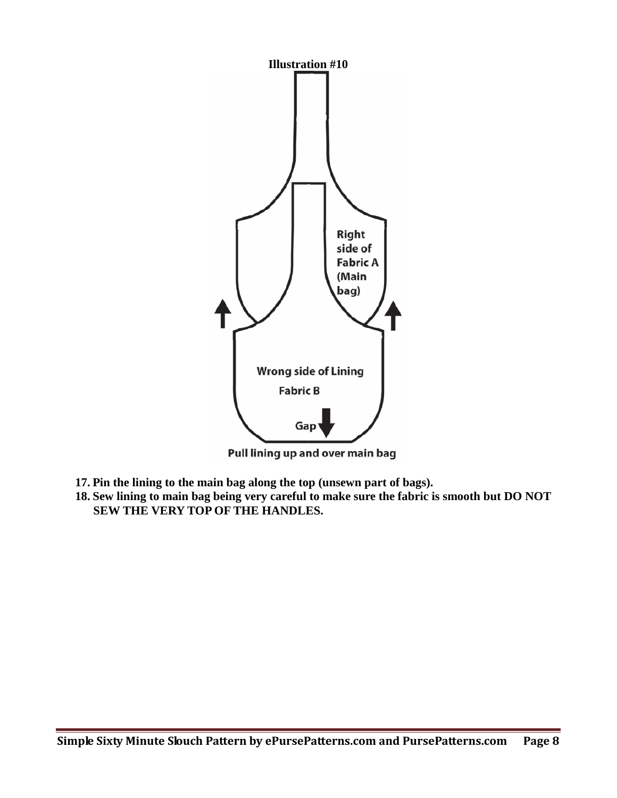

Pull lining up and over main bag

- **17. Pin the lining to the main bag along the top (unsewn part of bags).**
- **18. Sew lining to main bag being very careful to make sure the fabric is smooth but DO NOT SEW THE VERY TOP OF THE HANDLES.**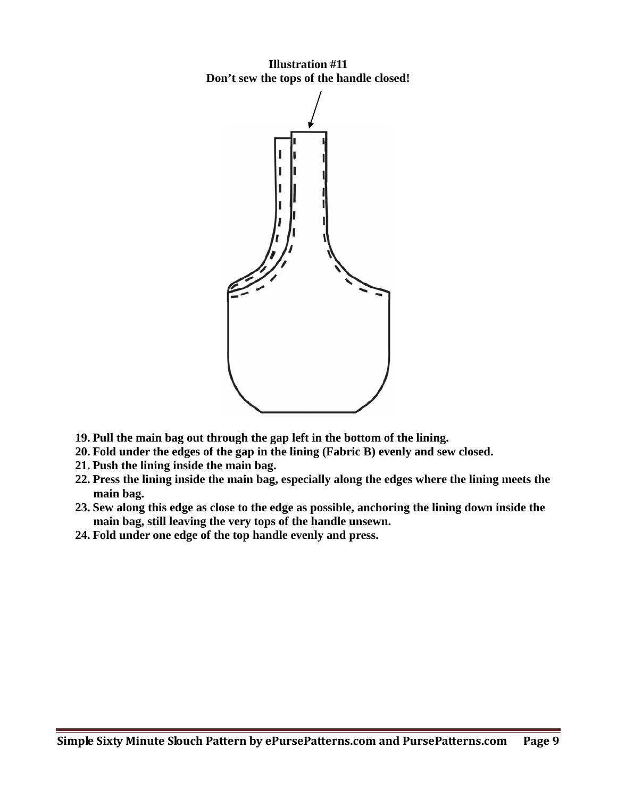**Illustration #11 Don't sew the tops of the handle closed!**



- **19. Pull the main bag out through the gap left in the bottom of the lining.**
- **20. Fold under the edges of the gap in the lining (Fabric B) evenly and sew closed.**
- **21. Push the lining inside the main bag.**
- **22. Press the lining inside the main bag, especially along the edges where the lining meets the main bag.**
- **23. Sew along this edge as close to the edge as possible, anchoring the lining down inside the main bag, still leaving the very tops of the handle unsewn.**
- **24. Fold under one edge of the top handle evenly and press.**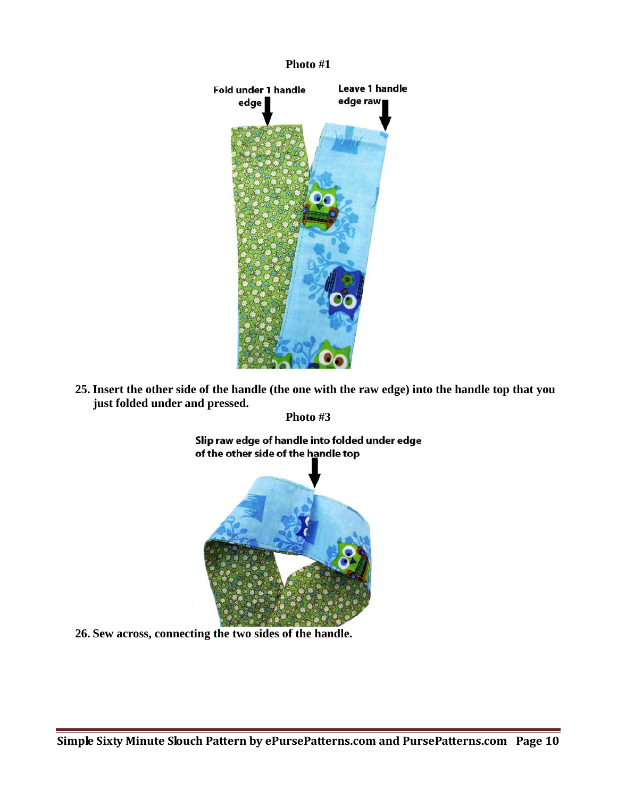

**25. Insert the other side of the handle (the one with the raw edge) into the handle top that you just folded under and pressed.**

**Photo #3**

Slip raw edge of handle into folded under edge of the other side of the handle top



**26. Sew across, connecting the two sides of the handle.**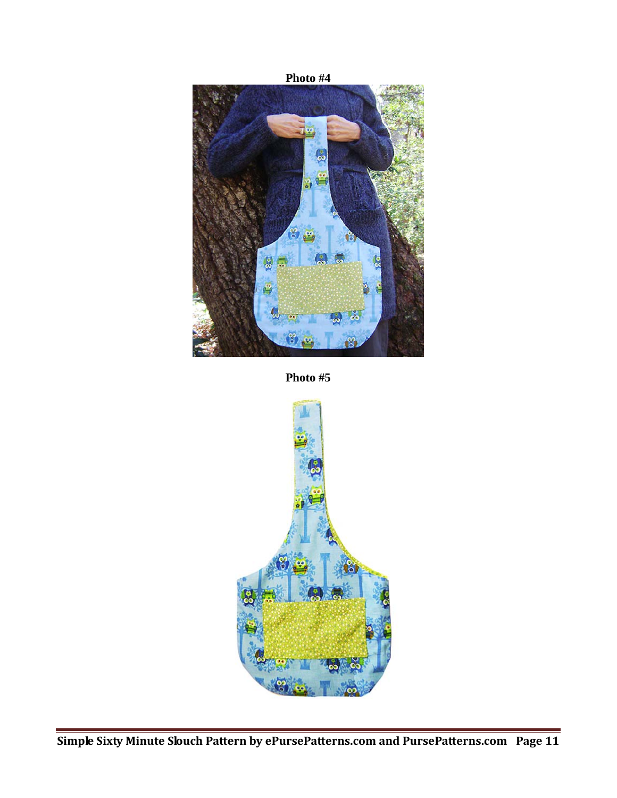

**Photo #5**

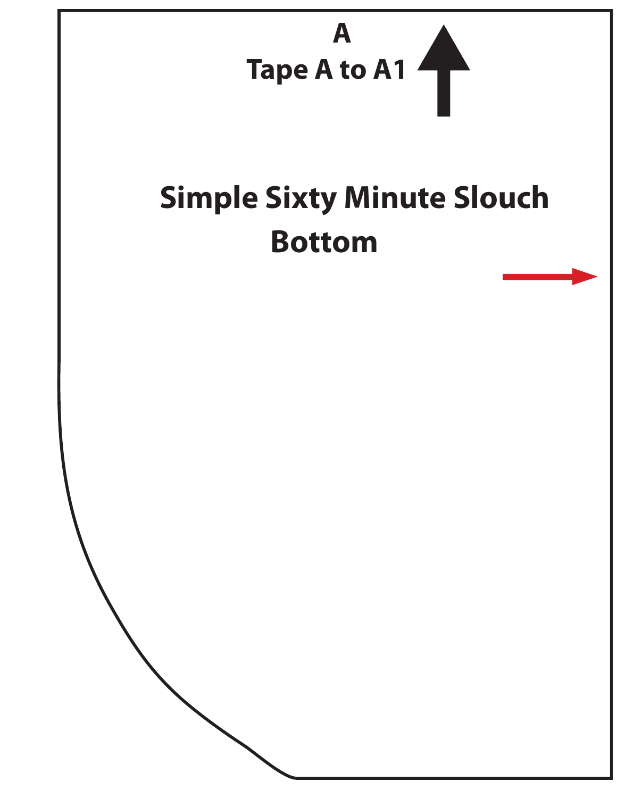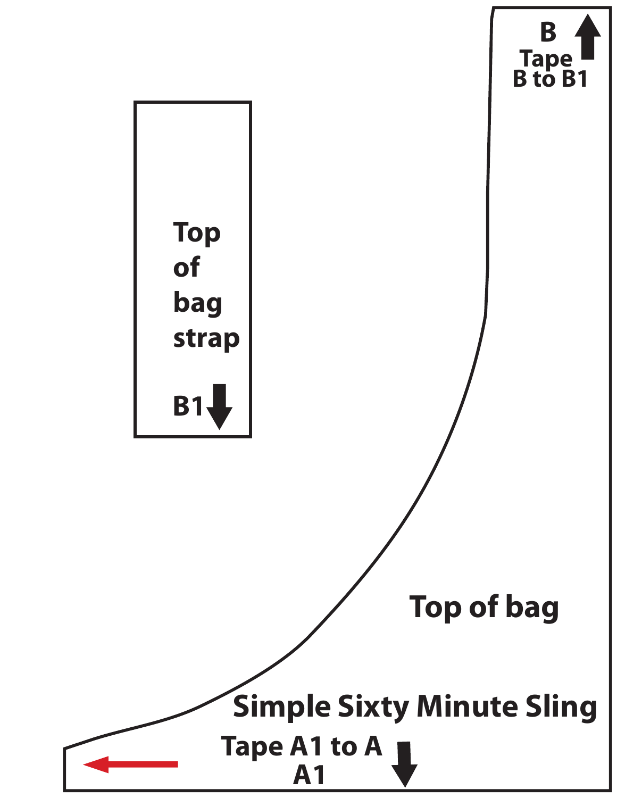